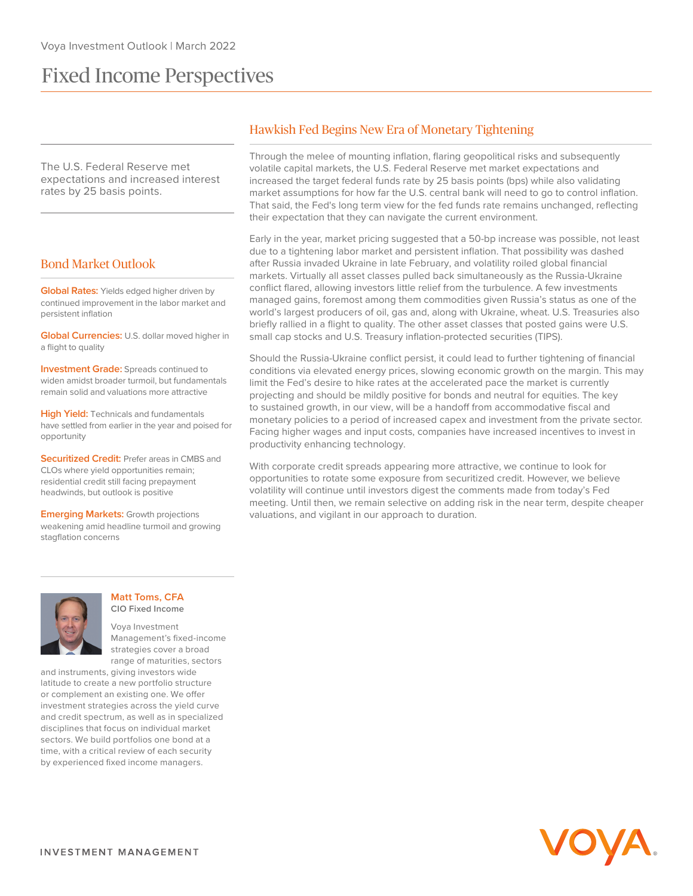# Fixed Income Perspectives

The U.S. Federal Reserve met expectations and increased interest rates by 25 basis points.

## Bond Market Outlook

**Global Rates:** Yields edged higher driven by continued improvement in the labor market and persistent inflation

**Global Currencies:** U.S. dollar moved higher in a flight to quality

**Investment Grade:** Spreads continued to widen amidst broader turmoil, but fundamentals remain solid and valuations more attractive

**High Yield:** Technicals and fundamentals have settled from earlier in the year and poised for opportunity

**Securitized Credit:** Prefer areas in CMBS and CLOs where yield opportunities remain; residential credit still facing prepayment headwinds, but outlook is positive

**Emerging Markets:** Growth projections weakening amid headline turmoil and growing stagflation concerns

# Hawkish Fed Begins New Era of Monetary Tightening

Through the melee of mounting inflation, flaring geopolitical risks and subsequently volatile capital markets, the U.S. Federal Reserve met market expectations and increased the target federal funds rate by 25 basis points (bps) while also validating market assumptions for how far the U.S. central bank will need to go to control inflation. That said, the Fed's long term view for the fed funds rate remains unchanged, reflecting their expectation that they can navigate the current environment.

Early in the year, market pricing suggested that a 50-bp increase was possible, not least due to a tightening labor market and persistent inflation. That possibility was dashed after Russia invaded Ukraine in late February, and volatility roiled global financial markets. Virtually all asset classes pulled back simultaneously as the Russia-Ukraine conflict flared, allowing investors little relief from the turbulence. A few investments managed gains, foremost among them commodities given Russia's status as one of the world's largest producers of oil, gas and, along with Ukraine, wheat. U.S. Treasuries also briefly rallied in a flight to quality. The other asset classes that posted gains were U.S. small cap stocks and U.S. Treasury inflation-protected securities (TIPS).

Should the Russia-Ukraine conflict persist, it could lead to further tightening of financial conditions via elevated energy prices, slowing economic growth on the margin. This may limit the Fed's desire to hike rates at the accelerated pace the market is currently projecting and should be mildly positive for bonds and neutral for equities. The key to sustained growth, in our view, will be a handoff from accommodative fiscal and monetary policies to a period of increased capex and investment from the private sector. Facing higher wages and input costs, companies have increased incentives to invest in productivity enhancing technology.

With corporate credit spreads appearing more attractive, we continue to look for opportunities to rotate some exposure from securitized credit. However, we believe volatility will continue until investors digest the comments made from today's Fed meeting. Until then, we remain selective on adding risk in the near term, despite cheaper valuations, and vigilant in our approach to duration.



#### **Matt Toms, CFA CIO Fixed Income**

Voya Investment Management's fixed-income strategies cover a broad range of maturities, sectors

and instruments, giving investors wide latitude to create a new portfolio structure or complement an existing one. We offer investment strategies across the yield curve and credit spectrum, as well as in specialized disciplines that focus on individual market sectors. We build portfolios one bond at a time, with a critical review of each security by experienced fixed income managers.

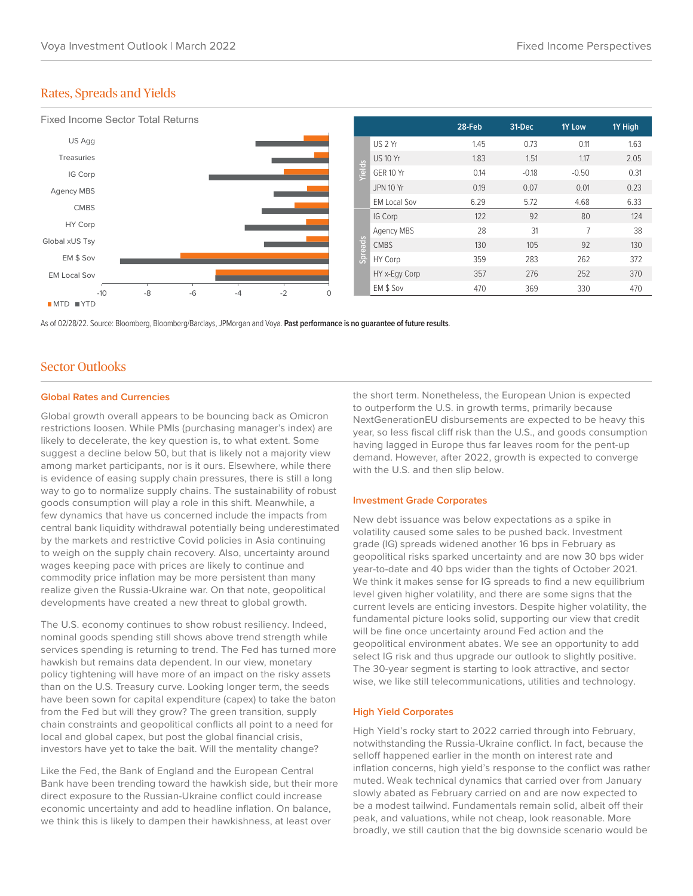# Rates, Spreads and Yields



As of 02/28/22. Source: Bloomberg, Bloomberg/Barclays, JPMorgan and Voya. **Past performance is no guarantee of future results**.

## Sector Outlooks

#### **Global Rates and Currencies**

Global growth overall appears to be bouncing back as Omicron restrictions loosen. While PMIs (purchasing manager's index) are likely to decelerate, the key question is, to what extent. Some suggest a decline below 50, but that is likely not a majority view among market participants, nor is it ours. Elsewhere, while there is evidence of easing supply chain pressures, there is still a long way to go to normalize supply chains. The sustainability of robust goods consumption will play a role in this shift. Meanwhile, a few dynamics that have us concerned include the impacts from central bank liquidity withdrawal potentially being underestimated by the markets and restrictive Covid policies in Asia continuing to weigh on the supply chain recovery. Also, uncertainty around wages keeping pace with prices are likely to continue and commodity price inflation may be more persistent than many realize given the Russia-Ukraine war. On that note, geopolitical developments have created a new threat to global growth.

The U.S. economy continues to show robust resiliency. Indeed, nominal goods spending still shows above trend strength while services spending is returning to trend. The Fed has turned more hawkish but remains data dependent. In our view, monetary policy tightening will have more of an impact on the risky assets than on the U.S. Treasury curve. Looking longer term, the seeds have been sown for capital expenditure (capex) to take the baton from the Fed but will they grow? The green transition, supply chain constraints and geopolitical conflicts all point to a need for local and global capex, but post the global financial crisis, investors have yet to take the bait. Will the mentality change?

Like the Fed, the Bank of England and the European Central Bank have been trending toward the hawkish side, but their more direct exposure to the Russian-Ukraine conflict could increase economic uncertainty and add to headline inflation. On balance, we think this is likely to dampen their hawkishness, at least over

the short term. Nonetheless, the European Union is expected to outperform the U.S. in growth terms, primarily because NextGenerationEU disbursements are expected to be heavy this year, so less fiscal cliff risk than the U.S., and goods consumption having lagged in Europe thus far leaves room for the pent-up demand. However, after 2022, growth is expected to converge with the U.S. and then slip below.

#### **Investment Grade Corporates**

New debt issuance was below expectations as a spike in volatility caused some sales to be pushed back. Investment grade (IG) spreads widened another 16 bps in February as geopolitical risks sparked uncertainty and are now 30 bps wider year-to-date and 40 bps wider than the tights of October 2021. We think it makes sense for IG spreads to find a new equilibrium level given higher volatility, and there are some signs that the current levels are enticing investors. Despite higher volatility, the fundamental picture looks solid, supporting our view that credit will be fine once uncertainty around Fed action and the geopolitical environment abates. We see an opportunity to add select IG risk and thus upgrade our outlook to slightly positive. The 30-year segment is starting to look attractive, and sector wise, we like still telecommunications, utilities and technology.

#### **High Yield Corporates**

High Yield's rocky start to 2022 carried through into February, notwithstanding the Russia-Ukraine conflict. In fact, because the selloff happened earlier in the month on interest rate and inflation concerns, high yield's response to the conflict was rather muted. Weak technical dynamics that carried over from January slowly abated as February carried on and are now expected to be a modest tailwind. Fundamentals remain solid, albeit off their peak, and valuations, while not cheap, look reasonable. More broadly, we still caution that the big downside scenario would be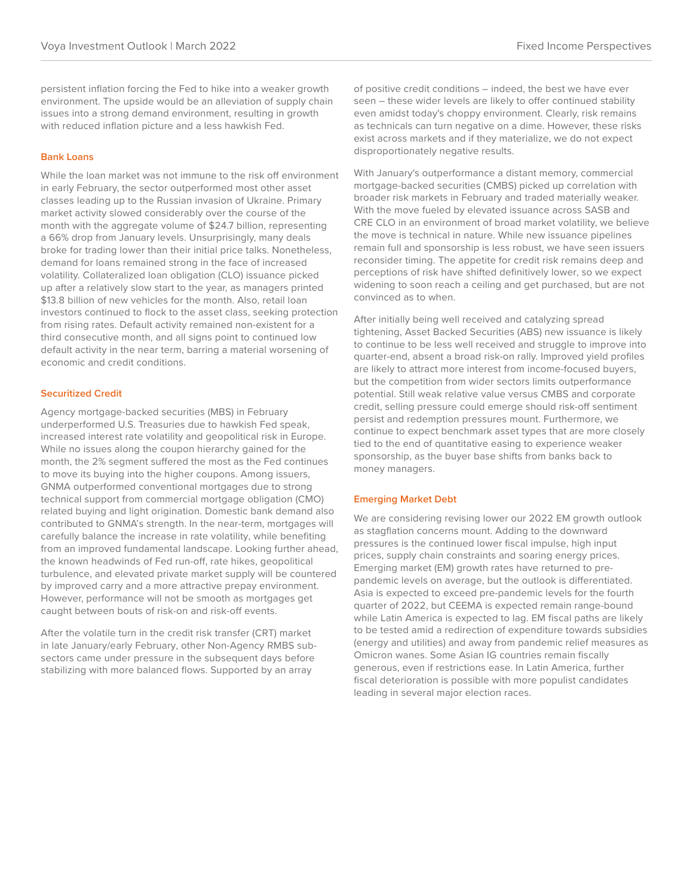persistent inflation forcing the Fed to hike into a weaker growth environment. The upside would be an alleviation of supply chain issues into a strong demand environment, resulting in growth with reduced inflation picture and a less hawkish Fed.

### **Bank Loans**

While the loan market was not immune to the risk off environment in early February, the sector outperformed most other asset classes leading up to the Russian invasion of Ukraine. Primary market activity slowed considerably over the course of the month with the aggregate volume of \$24.7 billion, representing a 66% drop from January levels. Unsurprisingly, many deals broke for trading lower than their initial price talks. Nonetheless, demand for loans remained strong in the face of increased volatility. Collateralized loan obligation (CLO) issuance picked up after a relatively slow start to the year, as managers printed \$13.8 billion of new vehicles for the month. Also, retail loan investors continued to flock to the asset class, seeking protection from rising rates. Default activity remained non-existent for a third consecutive month, and all signs point to continued low default activity in the near term, barring a material worsening of economic and credit conditions.

#### **Securitized Credit**

Agency mortgage-backed securities (MBS) in February underperformed U.S. Treasuries due to hawkish Fed speak, increased interest rate volatility and geopolitical risk in Europe. While no issues along the coupon hierarchy gained for the month, the 2% segment suffered the most as the Fed continues to move its buying into the higher coupons. Among issuers, GNMA outperformed conventional mortgages due to strong technical support from commercial mortgage obligation (CMO) related buying and light origination. Domestic bank demand also contributed to GNMA's strength. In the near-term, mortgages will carefully balance the increase in rate volatility, while benefiting from an improved fundamental landscape. Looking further ahead, the known headwinds of Fed run-off, rate hikes, geopolitical turbulence, and elevated private market supply will be countered by improved carry and a more attractive prepay environment. However, performance will not be smooth as mortgages get caught between bouts of risk-on and risk-off events.

After the volatile turn in the credit risk transfer (CRT) market in late January/early February, other Non-Agency RMBS subsectors came under pressure in the subsequent days before stabilizing with more balanced flows. Supported by an array

of positive credit conditions – indeed, the best we have ever seen – these wider levels are likely to offer continued stability even amidst today's choppy environment. Clearly, risk remains as technicals can turn negative on a dime. However, these risks exist across markets and if they materialize, we do not expect disproportionately negative results.

With January's outperformance a distant memory, commercial mortgage-backed securities (CMBS) picked up correlation with broader risk markets in February and traded materially weaker. With the move fueled by elevated issuance across SASB and CRE CLO in an environment of broad market volatility, we believe the move is technical in nature. While new issuance pipelines remain full and sponsorship is less robust, we have seen issuers reconsider timing. The appetite for credit risk remains deep and perceptions of risk have shifted definitively lower, so we expect widening to soon reach a ceiling and get purchased, but are not convinced as to when.

After initially being well received and catalyzing spread tightening, Asset Backed Securities (ABS) new issuance is likely to continue to be less well received and struggle to improve into quarter-end, absent a broad risk-on rally. Improved yield profiles are likely to attract more interest from income-focused buyers, but the competition from wider sectors limits outperformance potential. Still weak relative value versus CMBS and corporate credit, selling pressure could emerge should risk-off sentiment persist and redemption pressures mount. Furthermore, we continue to expect benchmark asset types that are more closely tied to the end of quantitative easing to experience weaker sponsorship, as the buyer base shifts from banks back to money managers.

#### **Emerging Market Debt**

We are considering revising lower our 2022 EM growth outlook as stagflation concerns mount. Adding to the downward pressures is the continued lower fiscal impulse, high input prices, supply chain constraints and soaring energy prices. Emerging market (EM) growth rates have returned to prepandemic levels on average, but the outlook is differentiated. Asia is expected to exceed pre-pandemic levels for the fourth quarter of 2022, but CEEMA is expected remain range-bound while Latin America is expected to lag. EM fiscal paths are likely to be tested amid a redirection of expenditure towards subsidies (energy and utilities) and away from pandemic relief measures as Omicron wanes. Some Asian IG countries remain fiscally generous, even if restrictions ease. In Latin America, further fiscal deterioration is possible with more populist candidates leading in several major election races.